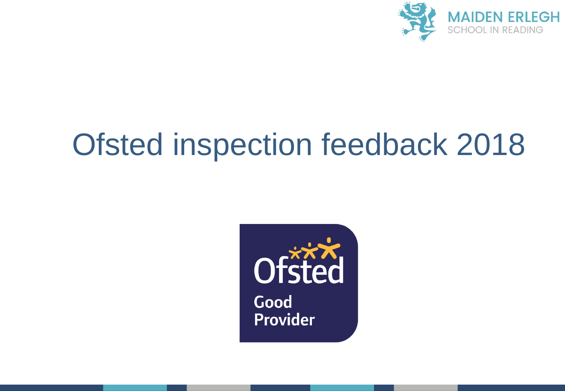

# Ofsted inspection feedback 2018

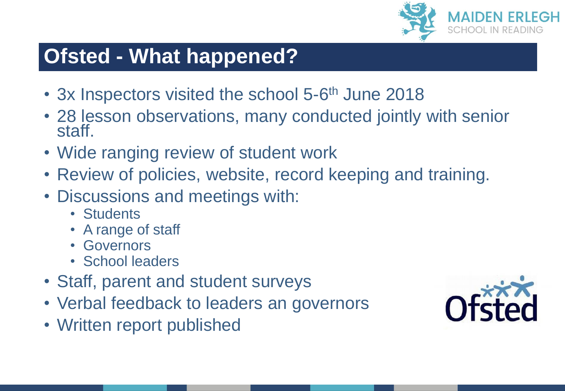

#### **Ofsted - What happened?**

- 3x Inspectors visited the school 5-6<sup>th</sup> June 2018
- 28 lesson observations, many conducted jointly with senior staff.
- Wide ranging review of student work
- Review of policies, website, record keeping and training.
- Discussions and meetings with:
	- Students
	- A range of staff
	- Governors
	- School leaders
- Staff, parent and student surveys
- Verbal feedback to leaders an governors
- Written report published

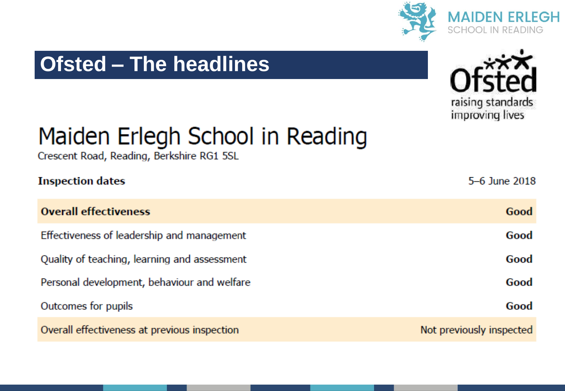

#### **Ofsted - The headlines**



## Maiden Erlegh School in Reading

Crescent Road, Reading, Berkshire RG1 5SL

| <b>Inspection dates</b>                      | 5–6 June 2018            |
|----------------------------------------------|--------------------------|
| <b>Overall effectiveness</b>                 | Good                     |
| Effectiveness of leadership and management   | Good                     |
| Quality of teaching, learning and assessment | Good                     |
| Personal development, behaviour and welfare  | Good                     |
| Outcomes for pupils                          | Good                     |
| Overall effectiveness at previous inspection | Not previously inspected |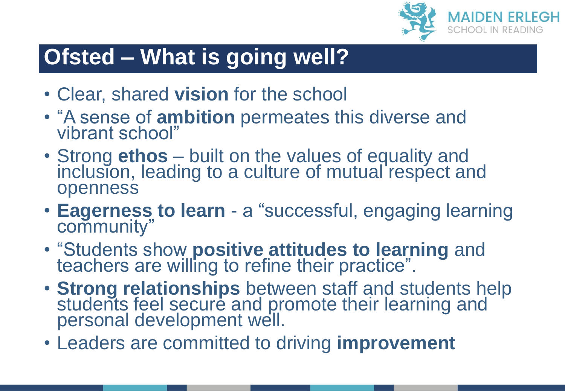

### **Ofsted – What is going well?**

- Clear, shared **vision** for the school
- "A sense of **ambition** permeates this diverse and vibrant school"
- Strong **ethos** built on the values of equality and inclusion, leading to a culture of mutual respect and openness
- **Eagerness to learn**  a "successful, engaging learning community"
- "Students show **positive attitudes to learning** and teachers are willing to refine their practice".
- **Strong relationships** between staff and students help students feel secure and promote their learning and personal development well.
- Leaders are committed to driving **improvement**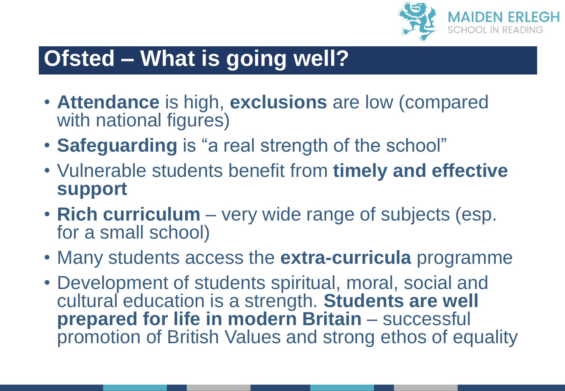

### **Ofsted – What is going well?**

- **Attendance** is high, **exclusions** are low (compared with national figures)
- **Safeguarding** is "a real strength of the school"
- Vulnerable students benefit from **timely and effective support**
- **Rich curriculum**  very wide range of subjects (esp. for a small school)
- Many students access the **extra-curricula** programme
- Development of students spiritual, moral, social and cultural education is a strength. **Students are well prepared for life in modern Britain** – successful promotion of British Values and strong ethos of equality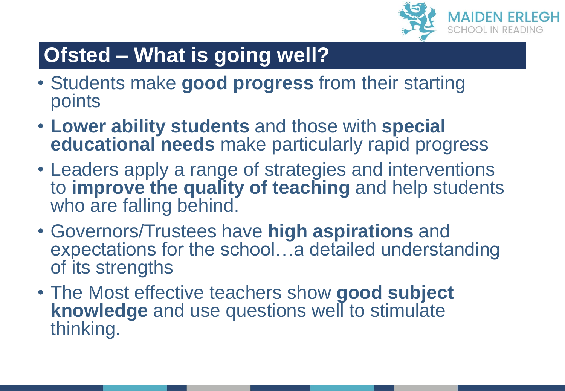

#### **Ofsted – What is going well?**

- Students make **good progress** from their starting points
- **Lower ability students** and those with **special educational needs** make particularly rapid progress
- Leaders apply a range of strategies and interventions to **improve the quality of teaching** and help students who are falling behind.
- Governors/Trustees have **high aspirations** and expectations for the school…a detailed understanding of its strengths
- The Most effective teachers show **good subject knowledge** and use questions well to stimulate thinking.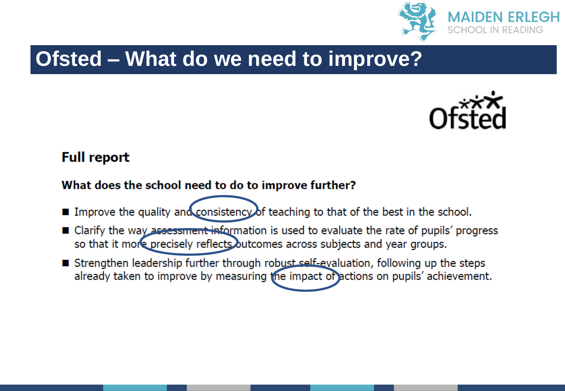

#### Ofsted - What do we need to improve?



#### **Full report**

#### What does the school need to do to improve further?

- Improve the quality and consistency of teaching to that of the best in the school.
- Clarify the way assessment information is used to evaluate the rate of pupils' progress so that it more precisely reflects butcomes across subjects and year groups.
- Strengthen leadership further through robust self-evaluation, following up the steps already taken to improve by measuring the impact of actions on pupils' achievement.